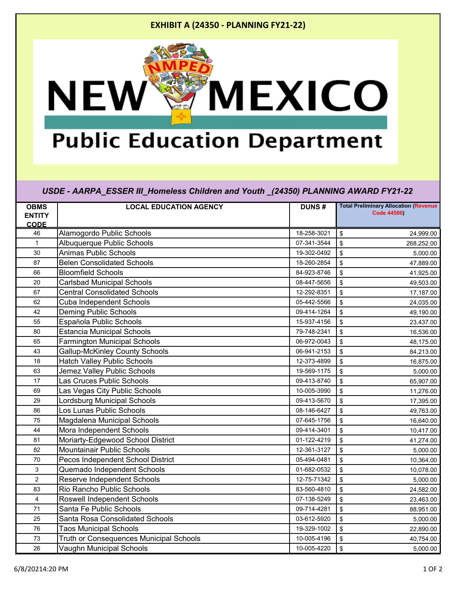## **EXHIBIT A (24350 - PLANNING FY21-22)**



## **Public Education Department**

*USDE - AARPA\_ESSER III\_Homeless Children and Youth \_(24350) PLANNING AWARD FY21-22*

| <b>OBMS</b>    | <b>LOCAL EDUCATION AGENCY</b>                  | <b>DUNS#</b> | <b>Total Preliminary Allocation (Revenue)</b> |
|----------------|------------------------------------------------|--------------|-----------------------------------------------|
| <b>ENTITY</b>  |                                                |              | <b>Code 44500)</b>                            |
| <b>CODE</b>    |                                                |              |                                               |
| 46             | Alamogordo Public Schools                      | 18-258-3021  | $\mathbf{\hat{S}}$<br>24,999.00               |
| $\mathbf{1}$   | Albuquerque Public Schools                     | 07-341-3544  | \$<br>268,252.00                              |
| 30             | <b>Animas Public Schools</b>                   | 19-302-0492  | \$<br>5,000.00                                |
| 87             | <b>Belen Consolidated Schools</b>              | 18-260-2854  | $\boldsymbol{\mathsf{S}}$<br>47,889.00        |
| 66             | <b>Bloomfield Schools</b>                      | 84-923-8746  | \$<br>41,925.00                               |
| 20             | <b>Carlsbad Municipal Schools</b>              | 08-447-5656  | \$<br>49,503.00                               |
| 67             | <b>Central Consolidated Schools</b>            | 12-292-8351  | \$<br>17,187.00                               |
| 62             | <b>Cuba Independent Schools</b>                | 05-442-5566  | \$<br>24,035.00                               |
| 42             | <b>Deming Public Schools</b>                   | 09-414-1264  | \$<br>49,190.00                               |
| 55             | Española Public Schools                        | 15-937-4156  | \$<br>23,437.00                               |
| 80             | <b>Estancia Municipal Schools</b>              | 79-748-2341  | \$<br>16,536.00                               |
| 65             | <b>Farmington Municipal Schools</b>            | 06-972-0043  | \$<br>48,175.00                               |
| 43             | <b>Gallup-McKinley County Schools</b>          | 06-941-2153  | $\boldsymbol{\mathsf{S}}$<br>84,213.00        |
| 18             | <b>Hatch Valley Public Schools</b>             | 12-373-4899  | \$<br>16,875.00                               |
| 63             | Jemez Valley Public Schools                    | 19-569-1175  | \$<br>5,000.00                                |
| 17             | Las Cruces Public Schools                      | 09-413-8740  | \$<br>65,907.00                               |
| 69             | Las Vegas City Public Schools                  | 10-005-3990  | \$<br>11,276.00                               |
| 29             | Lordsburg Municipal Schools                    | 09-413-5670  | \$<br>17,395.00                               |
| 86             | Los Lunas Public Schools                       | 08-146-6427  | \$<br>49,763.00                               |
| 75             | Magdalena Municipal Schools                    | 07-645-1756  | \$<br>16,640.00                               |
| 44             | Mora Independent Schools                       | 09-414-3401  | \$<br>10,417.00                               |
| 81             | Moriarty-Edgewood School District              | 01-122-4219  | \$<br>41,274.00                               |
| 82             | Mountainair Public Schools                     | 12-361-3127  | \$<br>5,000.00                                |
| 70             | Pecos Independent School District              | 05-494-0481  | $\boldsymbol{\mathsf{S}}$<br>10,364.00        |
| 3              | Quemado Independent Schools                    | 01-682-0532  | $\boldsymbol{\mathsf{S}}$<br>10,078.00        |
| $\overline{2}$ | <b>Reserve Independent Schools</b>             | 12-75-71342  | \$<br>5,000.00                                |
| 83             | Rio Rancho Public Schools                      | 83-560-4810  | \$<br>24,582.00                               |
| $\overline{4}$ | <b>Roswell Independent Schools</b>             | 07-138-5249  | \$<br>23,463.00                               |
| 71             | Santa Fe Public Schools                        | 09-714-4281  | \$<br>88,951.00                               |
| 25             | Santa Rosa Consolidated Schools                | 03-612-5920  | $\mathbf{\hat{S}}$<br>5,000.00                |
| 76             | <b>Taos Municipal Schools</b>                  | 19-329-1002  | \$<br>22,890.00                               |
| 73             | <b>Truth or Consequences Municipal Schools</b> | 10-005-4196  | \$<br>40,754.00                               |
| 26             | Vaughn Municipal Schools                       | 10-005-4220  | $\boldsymbol{\mathsf{S}}$<br>5,000.00         |